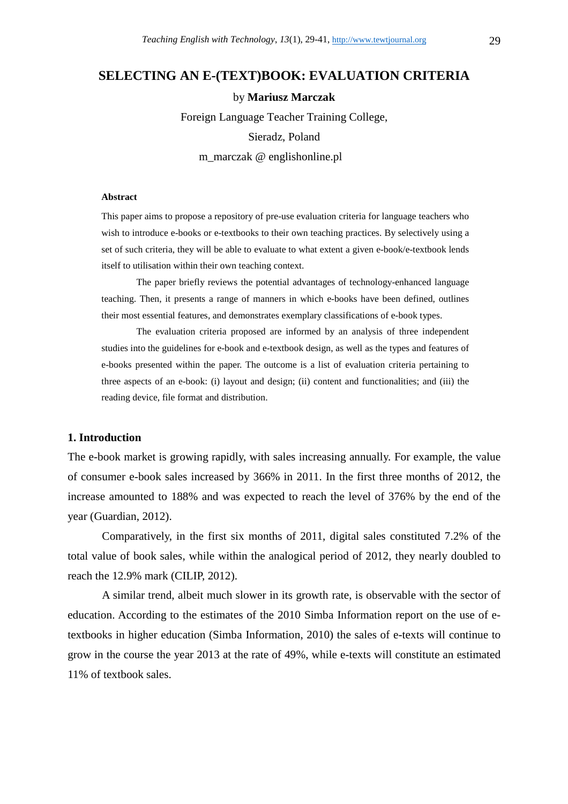# **SELECTING AN E-(TEXT)BOOK: EVALUATION CRITERIA**

by **Mariusz Marczak**  Foreign Language Teacher Training College, Sieradz, Poland

m\_marczak @ englishonline.pl

#### **Abstract**

This paper aims to propose a repository of pre-use evaluation criteria for language teachers who wish to introduce e-books or e-textbooks to their own teaching practices. By selectively using a set of such criteria, they will be able to evaluate to what extent a given e-book/e-textbook lends itself to utilisation within their own teaching context.

 The paper briefly reviews the potential advantages of technology-enhanced language teaching. Then, it presents a range of manners in which e-books have been defined, outlines their most essential features, and demonstrates exemplary classifications of e-book types.

 The evaluation criteria proposed are informed by an analysis of three independent studies into the guidelines for e-book and e-textbook design, as well as the types and features of e-books presented within the paper. The outcome is a list of evaluation criteria pertaining to three aspects of an e-book: (i) layout and design; (ii) content and functionalities; and (iii) the reading device, file format and distribution.

### **1. Introduction**

The e-book market is growing rapidly, with sales increasing annually. For example, the value of consumer e-book sales increased by 366% in 2011. In the first three months of 2012, the increase amounted to 188% and was expected to reach the level of 376% by the end of the year (Guardian, 2012).

 Comparatively, in the first six months of 2011, digital sales constituted 7.2% of the total value of book sales, while within the analogical period of 2012, they nearly doubled to reach the 12.9% mark (CILIP, 2012).

 A similar trend, albeit much slower in its growth rate, is observable with the sector of education. According to the estimates of the 2010 Simba Information report on the use of etextbooks in higher education (Simba Information, 2010) the sales of e-texts will continue to grow in the course the year 2013 at the rate of 49%, while e-texts will constitute an estimated 11% of textbook sales.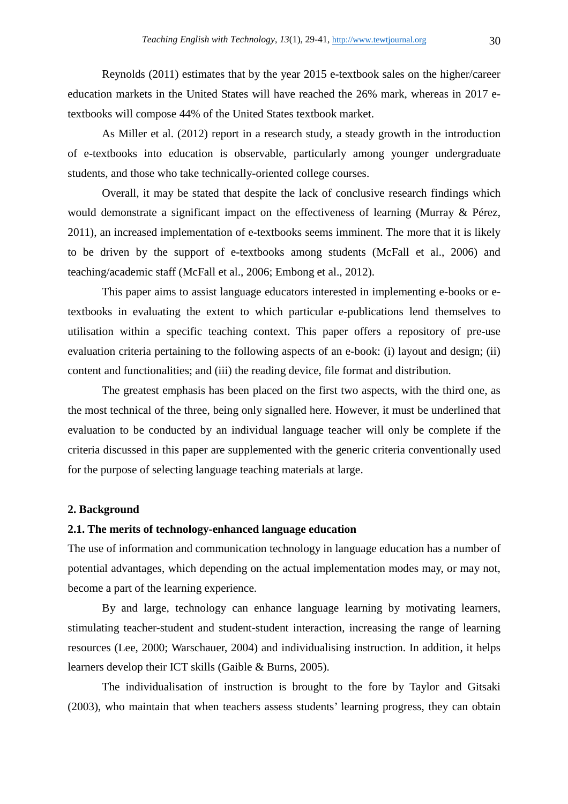Reynolds (2011) estimates that by the year 2015 e-textbook sales on the higher/career education markets in the United States will have reached the 26% mark, whereas in 2017 etextbooks will compose 44% of the United States textbook market.

 As Miller et al. (2012) report in a research study, a steady growth in the introduction of e-textbooks into education is observable, particularly among younger undergraduate students, and those who take technically-oriented college courses.

 Overall, it may be stated that despite the lack of conclusive research findings which would demonstrate a significant impact on the effectiveness of learning (Murray & Pérez, 2011), an increased implementation of e-textbooks seems imminent. The more that it is likely to be driven by the support of e-textbooks among students (McFall et al., 2006) and teaching/academic staff (McFall et al., 2006; Embong et al., 2012).

 This paper aims to assist language educators interested in implementing e-books or etextbooks in evaluating the extent to which particular e-publications lend themselves to utilisation within a specific teaching context. This paper offers a repository of pre-use evaluation criteria pertaining to the following aspects of an e-book: (i) layout and design; (ii) content and functionalities; and (iii) the reading device, file format and distribution.

 The greatest emphasis has been placed on the first two aspects, with the third one, as the most technical of the three, being only signalled here. However, it must be underlined that evaluation to be conducted by an individual language teacher will only be complete if the criteria discussed in this paper are supplemented with the generic criteria conventionally used for the purpose of selecting language teaching materials at large.

### **2. Background**

### **2.1. The merits of technology-enhanced language education**

The use of information and communication technology in language education has a number of potential advantages, which depending on the actual implementation modes may, or may not, become a part of the learning experience.

 By and large, technology can enhance language learning by motivating learners, stimulating teacher-student and student-student interaction, increasing the range of learning resources (Lee, 2000; Warschauer, 2004) and individualising instruction. In addition, it helps learners develop their ICT skills (Gaible & Burns, 2005).

 The individualisation of instruction is brought to the fore by Taylor and Gitsaki (2003), who maintain that when teachers assess students' learning progress, they can obtain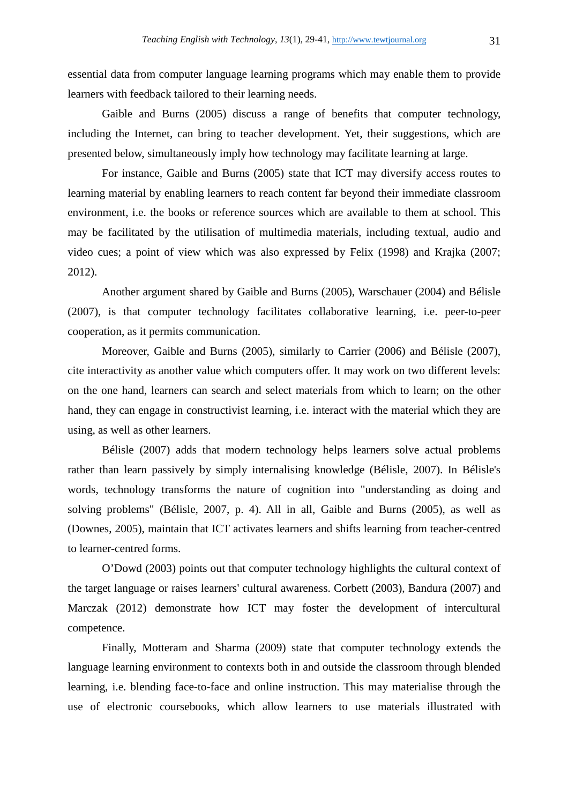essential data from computer language learning programs which may enable them to provide learners with feedback tailored to their learning needs.

 Gaible and Burns (2005) discuss a range of benefits that computer technology, including the Internet, can bring to teacher development. Yet, their suggestions, which are presented below, simultaneously imply how technology may facilitate learning at large.

 For instance, Gaible and Burns (2005) state that ICT may diversify access routes to learning material by enabling learners to reach content far beyond their immediate classroom environment, i.e. the books or reference sources which are available to them at school. This may be facilitated by the utilisation of multimedia materials, including textual, audio and video cues; a point of view which was also expressed by Felix (1998) and Krajka (2007; 2012).

 Another argument shared by Gaible and Burns (2005), Warschauer (2004) and Bélisle (2007), is that computer technology facilitates collaborative learning, i.e. peer-to-peer cooperation, as it permits communication.

 Moreover, Gaible and Burns (2005), similarly to Carrier (2006) and Bélisle (2007), cite interactivity as another value which computers offer. It may work on two different levels: on the one hand, learners can search and select materials from which to learn; on the other hand, they can engage in constructivist learning, i.e. interact with the material which they are using, as well as other learners.

 Bélisle (2007) adds that modern technology helps learners solve actual problems rather than learn passively by simply internalising knowledge (Bélisle, 2007). In Bélisle's words, technology transforms the nature of cognition into "understanding as doing and solving problems" (Bélisle, 2007, p. 4). All in all, Gaible and Burns (2005), as well as (Downes, 2005), maintain that ICT activates learners and shifts learning from teacher-centred to learner-centred forms.

 O'Dowd (2003) points out that computer technology highlights the cultural context of the target language or raises learners' cultural awareness. Corbett (2003), Bandura (2007) and Marczak (2012) demonstrate how ICT may foster the development of intercultural competence.

 Finally, Motteram and Sharma (2009) state that computer technology extends the language learning environment to contexts both in and outside the classroom through blended learning, i.e. blending face-to-face and online instruction. This may materialise through the use of electronic coursebooks, which allow learners to use materials illustrated with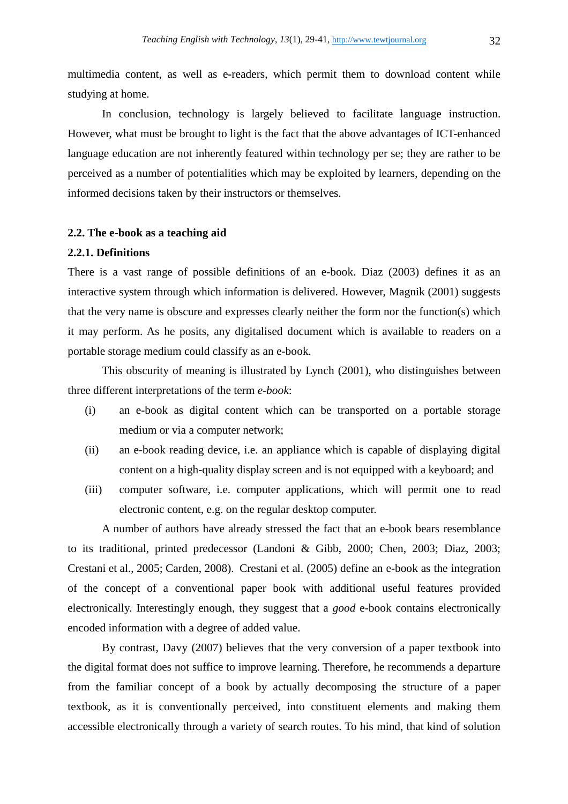multimedia content, as well as e-readers, which permit them to download content while studying at home.

 In conclusion, technology is largely believed to facilitate language instruction. However, what must be brought to light is the fact that the above advantages of ICT-enhanced language education are not inherently featured within technology per se; they are rather to be perceived as a number of potentialities which may be exploited by learners, depending on the informed decisions taken by their instructors or themselves.

# **2.2. The e-book as a teaching aid**

### **2.2.1. Definitions**

There is a vast range of possible definitions of an e-book. Diaz (2003) defines it as an interactive system through which information is delivered. However, Magnik (2001) suggests that the very name is obscure and expresses clearly neither the form nor the function(s) which it may perform. As he posits, any digitalised document which is available to readers on a portable storage medium could classify as an e-book.

 This obscurity of meaning is illustrated by Lynch (2001), who distinguishes between three different interpretations of the term *e-book*:

- (i) an e-book as digital content which can be transported on a portable storage medium or via a computer network;
- (ii) an e-book reading device, i.e. an appliance which is capable of displaying digital content on a high-quality display screen and is not equipped with a keyboard; and
- (iii) computer software, i.e. computer applications, which will permit one to read electronic content, e.g. on the regular desktop computer.

 A number of authors have already stressed the fact that an e-book bears resemblance to its traditional, printed predecessor (Landoni & Gibb, 2000; Chen, 2003; Diaz, 2003; Crestani et al., 2005; Carden, 2008). Crestani et al. (2005) define an e-book as the integration of the concept of a conventional paper book with additional useful features provided electronically. Interestingly enough, they suggest that a *good* e-book contains electronically encoded information with a degree of added value.

 By contrast, Davy (2007) believes that the very conversion of a paper textbook into the digital format does not suffice to improve learning. Therefore, he recommends a departure from the familiar concept of a book by actually decomposing the structure of a paper textbook, as it is conventionally perceived, into constituent elements and making them accessible electronically through a variety of search routes. To his mind, that kind of solution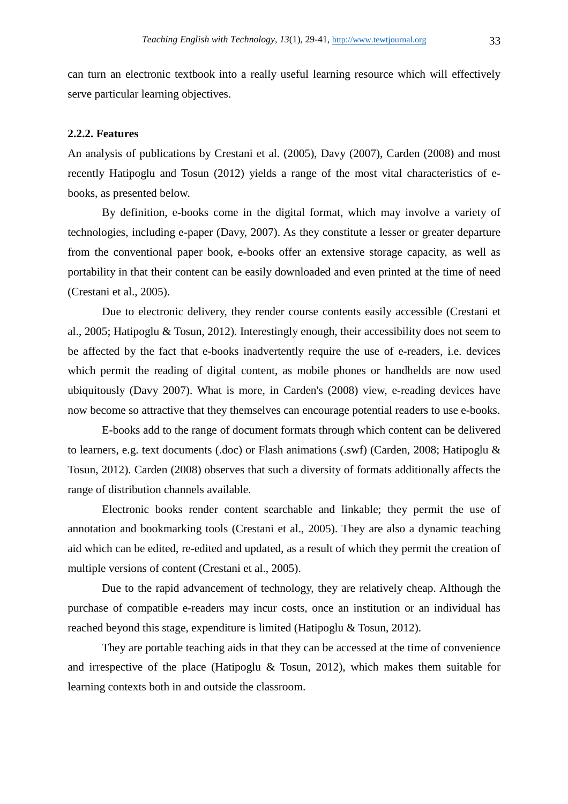can turn an electronic textbook into a really useful learning resource which will effectively serve particular learning objectives.

### **2.2.2. Features**

An analysis of publications by Crestani et al. (2005), Davy (2007), Carden (2008) and most recently Hatipoglu and Tosun (2012) yields a range of the most vital characteristics of ebooks, as presented below.

 By definition, e-books come in the digital format, which may involve a variety of technologies, including e-paper (Davy, 2007). As they constitute a lesser or greater departure from the conventional paper book, e-books offer an extensive storage capacity, as well as portability in that their content can be easily downloaded and even printed at the time of need (Crestani et al., 2005).

 Due to electronic delivery, they render course contents easily accessible (Crestani et al., 2005; Hatipoglu & Tosun, 2012). Interestingly enough, their accessibility does not seem to be affected by the fact that e-books inadvertently require the use of e-readers, i.e. devices which permit the reading of digital content, as mobile phones or handhelds are now used ubiquitously (Davy 2007). What is more, in Carden's (2008) view, e-reading devices have now become so attractive that they themselves can encourage potential readers to use e-books.

 E-books add to the range of document formats through which content can be delivered to learners, e.g. text documents (.doc) or Flash animations (.swf) (Carden, 2008; Hatipoglu & Tosun, 2012). Carden (2008) observes that such a diversity of formats additionally affects the range of distribution channels available.

 Electronic books render content searchable and linkable; they permit the use of annotation and bookmarking tools (Crestani et al., 2005). They are also a dynamic teaching aid which can be edited, re-edited and updated, as a result of which they permit the creation of multiple versions of content (Crestani et al., 2005).

 Due to the rapid advancement of technology, they are relatively cheap. Although the purchase of compatible e-readers may incur costs, once an institution or an individual has reached beyond this stage, expenditure is limited (Hatipoglu & Tosun, 2012).

 They are portable teaching aids in that they can be accessed at the time of convenience and irrespective of the place (Hatipoglu & Tosun, 2012), which makes them suitable for learning contexts both in and outside the classroom.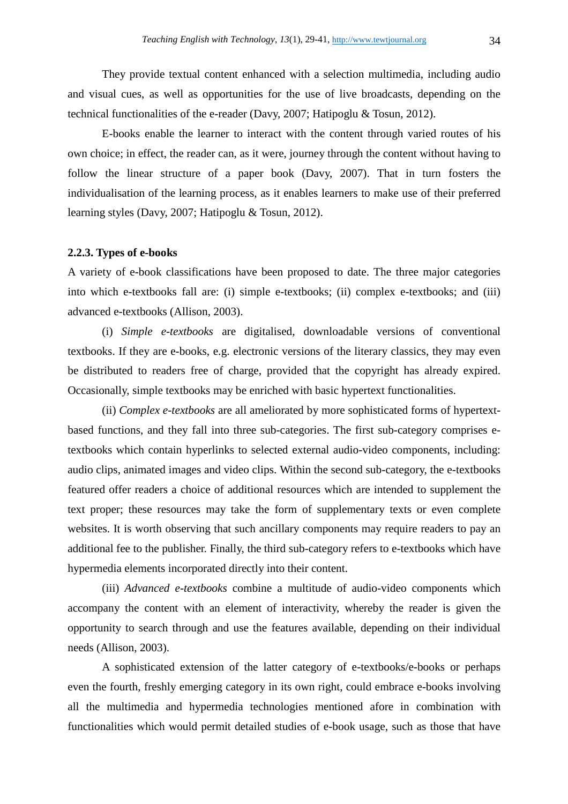They provide textual content enhanced with a selection multimedia, including audio and visual cues, as well as opportunities for the use of live broadcasts, depending on the technical functionalities of the e-reader (Davy, 2007; Hatipoglu & Tosun, 2012).

E-books enable the learner to interact with the content through varied routes of his own choice; in effect, the reader can, as it were, journey through the content without having to follow the linear structure of a paper book (Davy, 2007). That in turn fosters the individualisation of the learning process, as it enables learners to make use of their preferred learning styles (Davy, 2007; Hatipoglu & Tosun, 2012).

### **2.2.3. Types of e-books**

A variety of e-book classifications have been proposed to date. The three major categories into which e-textbooks fall are: (i) simple e-textbooks; (ii) complex e-textbooks; and (iii) advanced e-textbooks (Allison, 2003).

 (i) *Simple e-textbooks* are digitalised, downloadable versions of conventional textbooks. If they are e-books, e.g. electronic versions of the literary classics, they may even be distributed to readers free of charge, provided that the copyright has already expired. Occasionally, simple textbooks may be enriched with basic hypertext functionalities.

 (ii) *Complex e-textbooks* are all ameliorated by more sophisticated forms of hypertextbased functions, and they fall into three sub-categories. The first sub-category comprises etextbooks which contain hyperlinks to selected external audio-video components, including: audio clips, animated images and video clips. Within the second sub-category, the e-textbooks featured offer readers a choice of additional resources which are intended to supplement the text proper; these resources may take the form of supplementary texts or even complete websites. It is worth observing that such ancillary components may require readers to pay an additional fee to the publisher. Finally, the third sub-category refers to e-textbooks which have hypermedia elements incorporated directly into their content.

 (iii) *Advanced e-textbooks* combine a multitude of audio-video components which accompany the content with an element of interactivity, whereby the reader is given the opportunity to search through and use the features available, depending on their individual needs (Allison, 2003).

 A sophisticated extension of the latter category of e-textbooks/e-books or perhaps even the fourth, freshly emerging category in its own right, could embrace e-books involving all the multimedia and hypermedia technologies mentioned afore in combination with functionalities which would permit detailed studies of e-book usage, such as those that have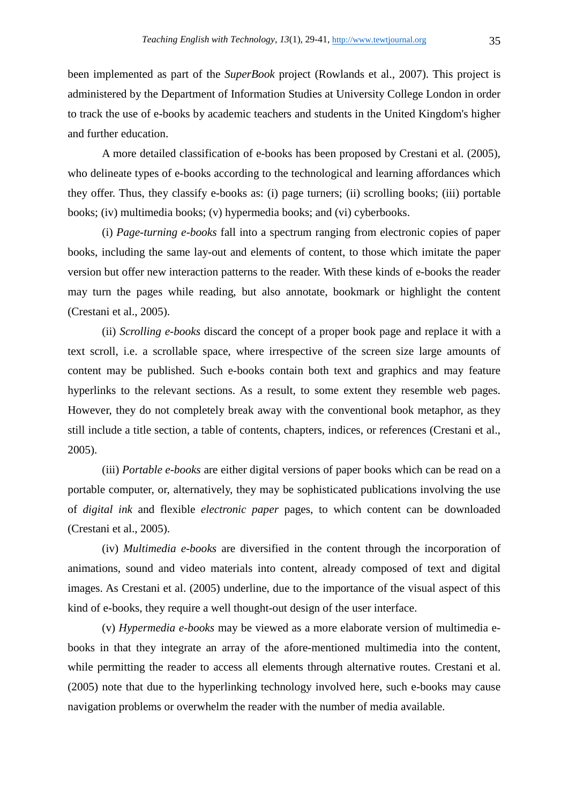been implemented as part of the *SuperBook* project (Rowlands et al., 2007). This project is administered by the Department of Information Studies at University College London in order to track the use of e-books by academic teachers and students in the United Kingdom's higher and further education.

 A more detailed classification of e-books has been proposed by Crestani et al. (2005), who delineate types of e-books according to the technological and learning affordances which they offer. Thus, they classify e-books as: (i) page turners; (ii) scrolling books; (iii) portable books; (iv) multimedia books; (v) hypermedia books; and (vi) cyberbooks.

 (i) *Page-turning e-books* fall into a spectrum ranging from electronic copies of paper books, including the same lay-out and elements of content, to those which imitate the paper version but offer new interaction patterns to the reader. With these kinds of e-books the reader may turn the pages while reading, but also annotate, bookmark or highlight the content (Crestani et al., 2005).

 (ii) *Scrolling e-books* discard the concept of a proper book page and replace it with a text scroll, i.e. a scrollable space, where irrespective of the screen size large amounts of content may be published. Such e-books contain both text and graphics and may feature hyperlinks to the relevant sections. As a result, to some extent they resemble web pages. However, they do not completely break away with the conventional book metaphor, as they still include a title section, a table of contents, chapters, indices, or references (Crestani et al., 2005).

 (iii) *Portable e-books* are either digital versions of paper books which can be read on a portable computer, or, alternatively, they may be sophisticated publications involving the use of *digital ink* and flexible *electronic paper* pages, to which content can be downloaded (Crestani et al., 2005).

 (iv) *Multimedia e-books* are diversified in the content through the incorporation of animations, sound and video materials into content, already composed of text and digital images. As Crestani et al. (2005) underline, due to the importance of the visual aspect of this kind of e-books, they require a well thought-out design of the user interface.

 (v) *Hypermedia e-books* may be viewed as a more elaborate version of multimedia ebooks in that they integrate an array of the afore-mentioned multimedia into the content, while permitting the reader to access all elements through alternative routes. Crestani et al. (2005) note that due to the hyperlinking technology involved here, such e-books may cause navigation problems or overwhelm the reader with the number of media available.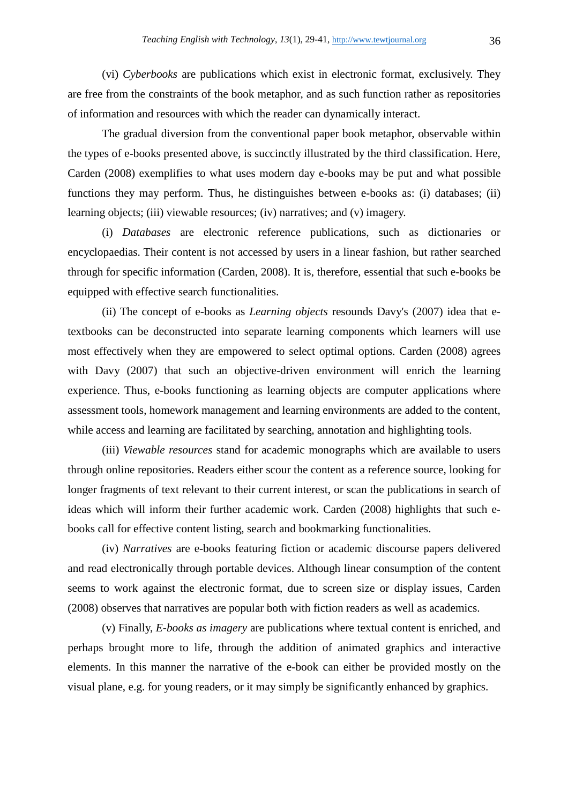(vi) *Cyberbooks* are publications which exist in electronic format, exclusively. They are free from the constraints of the book metaphor, and as such function rather as repositories of information and resources with which the reader can dynamically interact.

 The gradual diversion from the conventional paper book metaphor, observable within the types of e-books presented above, is succinctly illustrated by the third classification. Here, Carden (2008) exemplifies to what uses modern day e-books may be put and what possible functions they may perform. Thus, he distinguishes between e-books as: (i) databases; (ii) learning objects; (iii) viewable resources; (iv) narratives; and (v) imagery.

 (i) *Databases* are electronic reference publications, such as dictionaries or encyclopaedias. Their content is not accessed by users in a linear fashion, but rather searched through for specific information (Carden, 2008). It is, therefore, essential that such e-books be equipped with effective search functionalities.

 (ii) The concept of e-books as *Learning objects* resounds Davy's (2007) idea that etextbooks can be deconstructed into separate learning components which learners will use most effectively when they are empowered to select optimal options. Carden (2008) agrees with Davy (2007) that such an objective-driven environment will enrich the learning experience. Thus, e-books functioning as learning objects are computer applications where assessment tools, homework management and learning environments are added to the content, while access and learning are facilitated by searching, annotation and highlighting tools.

 (iii) *Viewable resources* stand for academic monographs which are available to users through online repositories. Readers either scour the content as a reference source, looking for longer fragments of text relevant to their current interest, or scan the publications in search of ideas which will inform their further academic work. Carden (2008) highlights that such ebooks call for effective content listing, search and bookmarking functionalities.

 (iv) *Narratives* are e-books featuring fiction or academic discourse papers delivered and read electronically through portable devices. Although linear consumption of the content seems to work against the electronic format, due to screen size or display issues, Carden (2008) observes that narratives are popular both with fiction readers as well as academics.

 (v) Finally, *E-books as imagery* are publications where textual content is enriched, and perhaps brought more to life, through the addition of animated graphics and interactive elements. In this manner the narrative of the e-book can either be provided mostly on the visual plane, e.g. for young readers, or it may simply be significantly enhanced by graphics.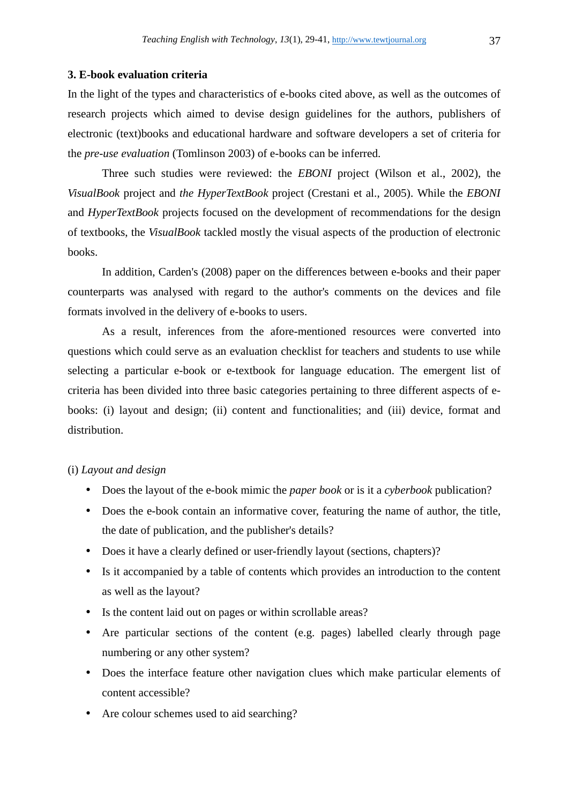# **3. E-book evaluation criteria**

In the light of the types and characteristics of e-books cited above, as well as the outcomes of research projects which aimed to devise design guidelines for the authors, publishers of electronic (text)books and educational hardware and software developers a set of criteria for the *pre-use evaluation* (Tomlinson 2003) of e-books can be inferred.

 Three such studies were reviewed: the *EBONI* project (Wilson et al., 2002), the *VisualBook* project and *the HyperTextBook* project (Crestani et al., 2005). While the *EBONI*  and *HyperTextBook* projects focused on the development of recommendations for the design of textbooks, the *VisualBook* tackled mostly the visual aspects of the production of electronic books.

 In addition, Carden's (2008) paper on the differences between e-books and their paper counterparts was analysed with regard to the author's comments on the devices and file formats involved in the delivery of e-books to users.

 As a result, inferences from the afore-mentioned resources were converted into questions which could serve as an evaluation checklist for teachers and students to use while selecting a particular e-book or e-textbook for language education. The emergent list of criteria has been divided into three basic categories pertaining to three different aspects of ebooks: (i) layout and design; (ii) content and functionalities; and (iii) device, format and distribution.

# (i) *Layout and design*

- Does the layout of the e-book mimic the *paper book* or is it a *cyberbook* publication?
- Does the e-book contain an informative cover, featuring the name of author, the title, the date of publication, and the publisher's details?
- Does it have a clearly defined or user-friendly layout (sections, chapters)?
- Is it accompanied by a table of contents which provides an introduction to the content as well as the layout?
- Is the content laid out on pages or within scrollable areas?
- Are particular sections of the content (e.g. pages) labelled clearly through page numbering or any other system?
- Does the interface feature other navigation clues which make particular elements of content accessible?
- Are colour schemes used to aid searching?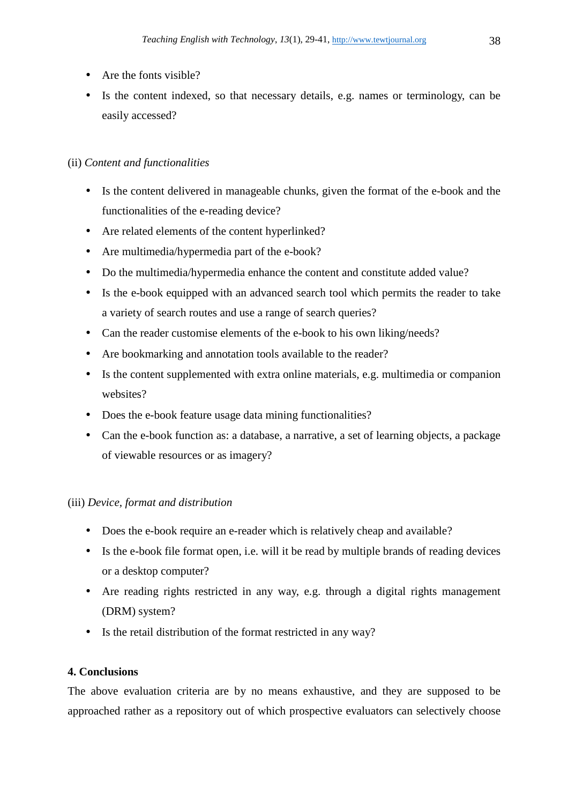- Are the fonts visible?
- Is the content indexed, so that necessary details, e.g. names or terminology, can be easily accessed?

# (ii) *Content and functionalities*

- Is the content delivered in manageable chunks, given the format of the e-book and the functionalities of the e-reading device?
- Are related elements of the content hyperlinked?
- Are multimedia/hypermedia part of the e-book?
- Do the multimedia/hypermedia enhance the content and constitute added value?
- Is the e-book equipped with an advanced search tool which permits the reader to take a variety of search routes and use a range of search queries?
- Can the reader customise elements of the e-book to his own liking/needs?
- Are bookmarking and annotation tools available to the reader?
- Is the content supplemented with extra online materials, e.g. multimedia or companion websites?
- Does the e-book feature usage data mining functionalities?
- Can the e-book function as: a database, a narrative, a set of learning objects, a package of viewable resources or as imagery?

# (iii) *Device, format and distribution*

- Does the e-book require an e-reader which is relatively cheap and available?
- Is the e-book file format open, i.e. will it be read by multiple brands of reading devices or a desktop computer?
- Are reading rights restricted in any way, e.g. through a digital rights management (DRM) system?
- Is the retail distribution of the format restricted in any way?

# **4. Conclusions**

The above evaluation criteria are by no means exhaustive, and they are supposed to be approached rather as a repository out of which prospective evaluators can selectively choose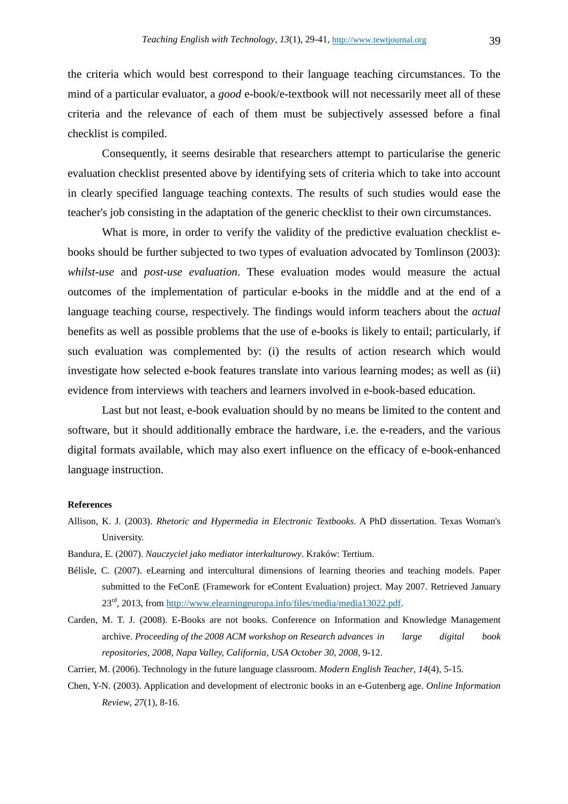the criteria which would best correspond to their language teaching circumstances. To the mind of a particular evaluator, a *good* e-book/e-textbook will not necessarily meet all of these criteria and the relevance of each of them must be subjectively assessed before a final checklist is compiled.

 Consequently, it seems desirable that researchers attempt to particularise the generic evaluation checklist presented above by identifying sets of criteria which to take into account in clearly specified language teaching contexts. The results of such studies would ease the teacher's job consisting in the adaptation of the generic checklist to their own circumstances.

What is more, in order to verify the validity of the predictive evaluation checklist ebooks should be further subjected to two types of evaluation advocated by Tomlinson (2003): *whilst-use* and *post-use evaluation*. These evaluation modes would measure the actual outcomes of the implementation of particular e-books in the middle and at the end of a language teaching course, respectively. The findings would inform teachers about the *actual* benefits as well as possible problems that the use of e-books is likely to entail; particularly, if such evaluation was complemented by: (i) the results of action research which would investigate how selected e-book features translate into various learning modes; as well as (ii) evidence from interviews with teachers and learners involved in e-book-based education.

 Last but not least, e-book evaluation should by no means be limited to the content and software, but it should additionally embrace the hardware, i.e. the e-readers, and the various digital formats available, which may also exert influence on the efficacy of e-book-enhanced language instruction.

#### **References**

- Allison, K. J. (2003). *Rhetoric and Hypermedia in Electronic Textbooks*. A PhD dissertation. Texas Woman's University.
- Bandura, E. (2007). *Nauczyciel jako mediator interkulturowy*. Kraków: Tertium.
- Bélisle, C. (2007). eLearning and intercultural dimensions of learning theories and teaching models. Paper submitted to the FeConE (Framework for eContent Evaluation) project. May 2007. Retrieved January 23rd, 2013, from http://www.elearningeuropa.info/files/media/media13022.pdf.
- Carden, M. T. J. (2008). E-Books are not books. Conference on Information and Knowledge Management archive. *Proceeding of the 2008 ACM workshop on Research advances in large digital book repositories, 2008, Napa Valley, California, USA October 30, 2008,* 9-12.
- Carrier, M. (2006). Technology in the future language classroom. *Modern English Teacher*, *14*(4), 5-15.
- Chen, Y-N. (2003). Application and development of electronic books in an e-Gutenberg age. *Online Information Review*, *27*(1), 8-16.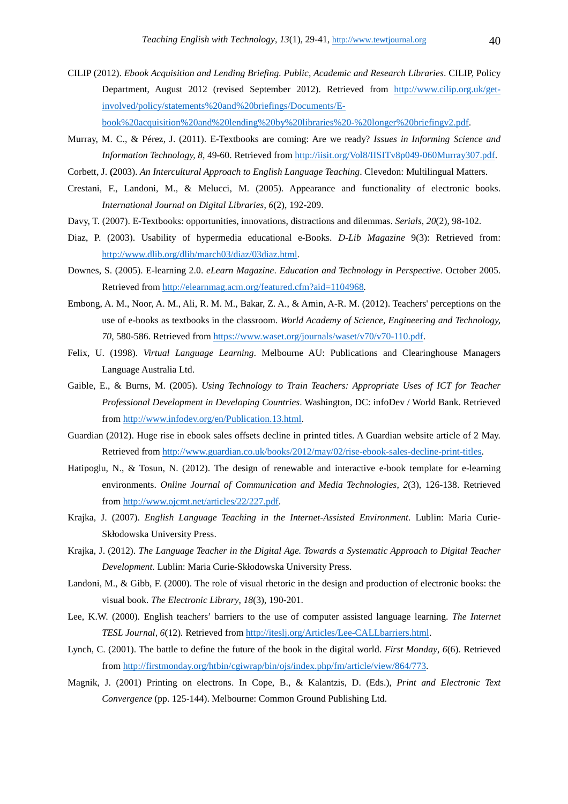- CILIP (2012). *Ebook Acquisition and Lending Briefing. Public, Academic and Research Libraries*. CILIP, Policy Department, August 2012 (revised September 2012). Retrieved from http://www.cilip.org.uk/getinvolved/policy/statements%20and%20briefings/Documents/Ebook%20acquisition%20and%20lending%20by%20libraries%20-%20longer%20briefingv2.pdf.
- Murray, M. C., & Pérez, J. (2011). E-Textbooks are coming: Are we ready? *Issues in Informing Science and Information Technology, 8*, 49-60. Retrieved from http://iisit.org/Vol8/IISITv8p049-060Murray307.pdf.
- Corbett, J. **(**2003). *An Intercultural Approach to English Language Teaching*. Clevedon: Multilingual Matters.
- Crestani, F., Landoni, M., & Melucci, M. (2005). Appearance and functionality of electronic books. *International Journal on Digital Libraries*, *6*(2), 192-209.
- Davy, T. (2007). E-Textbooks: opportunities, innovations, distractions and dilemmas. *Serials*, *20*(2), 98-102.
- Diaz, P. (2003). Usability of hypermedia educational e-Books. *D-Lib Magazine* 9(3): Retrieved from: http://www.dlib.org/dlib/march03/diaz/03diaz.html.
- Downes, S. (2005). E-learning 2.0. *eLearn Magazine*. *Education and Technology in Perspective*. October 2005. Retrieved from http://elearnmag.acm.org/featured.cfm?aid=1104968*.*
- Embong, A. M., Noor, A. M., Ali, R. M. M., Bakar, Z. A., & Amin, A-R. M. (2012). Teachers' perceptions on the use of e-books as textbooks in the classroom. *World Academy of Science, Engineering and Technology, 70*, 580-586. Retrieved from https://www.waset.org/journals/waset/v70/v70-110.pdf.
- Felix, U. (1998). *Virtual Language Learning*. Melbourne AU: Publications and Clearinghouse Managers Language Australia Ltd.
- Gaible, E., & Burns, M. (2005). *Using Technology to Train Teachers: Appropriate Uses of ICT for Teacher Professional Development in Developing Countries*. Washington, DC: infoDev / World Bank. Retrieved from http://www.infodev.org/en/Publication.13.html.
- Guardian (2012). Huge rise in ebook sales offsets decline in printed titles. A Guardian website article of 2 May. Retrieved from http://www.guardian.co.uk/books/2012/may/02/rise-ebook-sales-decline-print-titles.
- Hatipoglu, N., & Tosun, N. (2012). The design of renewable and interactive e-book template for e-learning environments. *Online Journal of Communication and Media Technologies*, *2*(3), 126-138. Retrieved from http://www.ojcmt.net/articles/22/227.pdf.
- Krajka, J. (2007). *English Language Teaching in the Internet-Assisted Environment.* Lublin: Maria Curie-Skłodowska University Press.
- Krajka, J. (2012). *The Language Teacher in the Digital Age. Towards a Systematic Approach to Digital Teacher Development.* Lublin: Maria Curie-Skłodowska University Press.
- Landoni, M., & Gibb, F. (2000). The role of visual rhetoric in the design and production of electronic books: the visual book. *The Electronic Library*, *18*(3), 190-201.
- Lee, K.W. (2000). English teachers' barriers to the use of computer assisted language learning. *The Internet TESL Journal, 6*(12)*.* Retrieved from http://iteslj.org/Articles/Lee-CALLbarriers.html.
- Lynch, C. (2001). The battle to define the future of the book in the digital world. *First Monday*, *6*(6). Retrieved from http://firstmonday.org/htbin/cgiwrap/bin/ojs/index.php/fm/article/view/864/773.
- Magnik, J. (2001) Printing on electrons. In Cope, B., & Kalantzis, D. (Eds.), *Print and Electronic Text Convergence* (pp. 125-144). Melbourne: Common Ground Publishing Ltd.